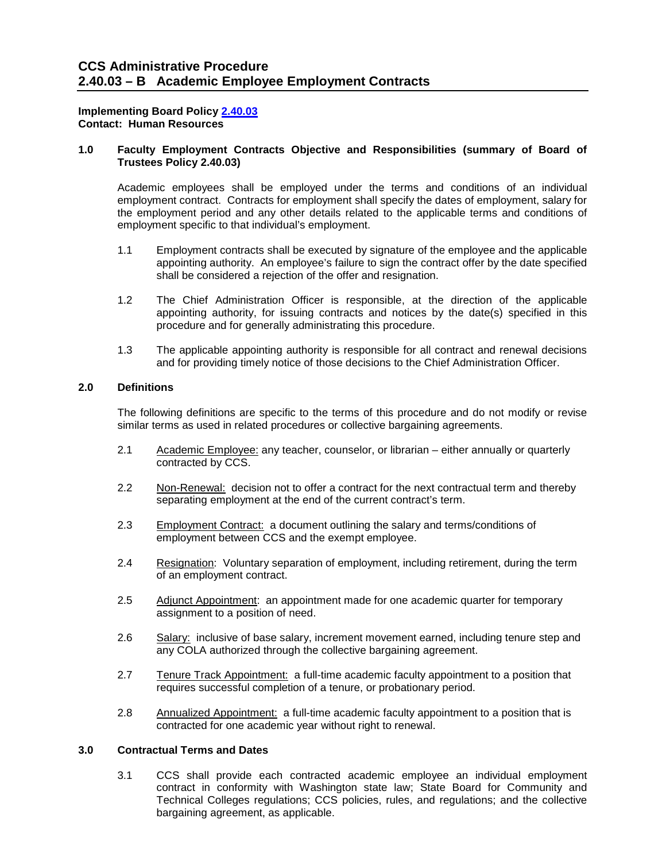#### **Contact: Human Resources Implementing Board Policy [2.40.03](https://ccs.spokane.edu/About-Us/Leadership/Board-of-Trustees/Policies-Procedures/Chapter2#AccWE2-11)**

# Contact: Human Resources<br>1.0 Faculty Employment Contracts Objective and Responsibilities (summary of Board of **Trustees Policy 2.40.03)**

Academic employees shall be employed under the terms and conditions of an individual employment contract. Contracts for employment shall specify the dates of employment, salary for the employment period and any other details related to the applicable terms and conditions of employment specific to that individual's employment.

- $1.1$  appointing authority. An employee's failure to sign the contract offer by the date specified Employment contracts shall be executed by signature of the employee and the applicable shall be considered a rejection of the offer and resignation.
- $1.2$ The Chief Administration Officer is responsible, at the direction of the applicable appointing authority, for issuing contracts and notices by the date(s) specified in this procedure and for generally administrating this procedure.
- $1.3$  and for providing timely notice of those decisions to the Chief Administration Officer. The applicable appointing authority is responsible for all contract and renewal decisions

### **2.0 Definitions**

 The following definitions are specific to the terms of this procedure and do not modify or revise similar terms as used in related procedures or collective bargaining agreements.

- 2.1 Academic Employee: any teacher, counselor, or librarian either annually or quarterly contracted by CCS.
- 2.2 Non-Renewal: decision not to offer a contract for the next contractual term and thereby separating employment at the end of the current contract's term.
- 2.3 Employment Contract: a document outlining the salary and terms/conditions of employment between CCS and the exempt employee.
- 2.4 Resignation: Voluntary separation of employment, including retirement, during the term of an employment contract.
- 2.5 Adjunct Appointment: an appointment made for one academic quarter for temporary assignment to a position of need.
- 2.6 Salary: inclusive of base salary, increment movement earned, including tenure step and any COLA authorized through the collective bargaining agreement.
- 2.7 Tenure Track Appointment: a full-time academic faculty appointment to a position that requires successful completion of a tenure, or probationary period.
- 2.8 Annualized Appointment: a full-time academic faculty appointment to a position that is contracted for one academic year without right to renewal.

#### **3.0 Contractual Terms and Dates**

 $3.1$  contract in conformity with Washington state law; State Board for Community and CCS shall provide each contracted academic employee an individual employment Technical Colleges regulations; CCS policies, rules, and regulations; and the collective bargaining agreement, as applicable.